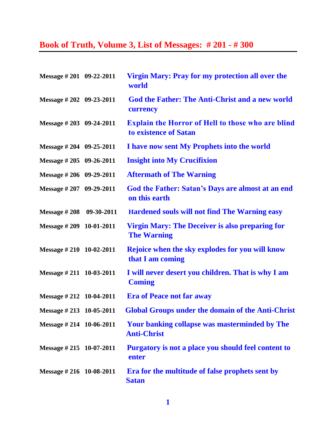## **Book of Truth, Volume 3, List of Messages: # 201 - # 300**

| Message # 201 09-22-2011          | Virgin Mary: Pray for my protection all over the<br>world                         |
|-----------------------------------|-----------------------------------------------------------------------------------|
| Message # 202 09-23-2011          | <b>God the Father: The Anti-Christ and a new world</b><br>currency                |
| Message # 203 09-24-2011          | <b>Explain the Horror of Hell to those who are blind</b><br>to existence of Satan |
| Message # 204 09-25-2011          | I have now sent My Prophets into the world                                        |
| Message # 205 09-26-2011          | <b>Insight into My Crucifixion</b>                                                |
| Message # 206 09-29-2011          | <b>Aftermath of The Warning</b>                                                   |
| Message # 207 09-29-2011          | God the Father: Satan's Days are almost at an end<br>on this earth                |
| Message #208 09-30-2011           | <b>Hardened souls will not find The Warning easy</b>                              |
| Message # 209 10-01-2011          | <b>Virgin Mary: The Deceiver is also preparing for</b><br><b>The Warning</b>      |
| Message # 210 10-02-2011          | Rejoice when the sky explodes for you will know<br>that I am coming               |
| Message # 211 10-03-2011          | I will never desert you children. That is why I am<br><b>Coming</b>               |
| Message $\# 212 \quad 10-04-2011$ | <b>Era of Peace not far away</b>                                                  |
| Message #213 10-05-2011           | <b>Global Groups under the domain of the Anti-Christ</b>                          |
| Message # 214 10-06-2011          | Your banking collapse was masterminded by The<br><b>Anti-Christ</b>               |
| Message #215 10-07-2011           | Purgatory is not a place you should feel content to<br>enter                      |
| Message #216 10-08-2011           | Era for the multitude of false prophets sent by<br><b>Satan</b>                   |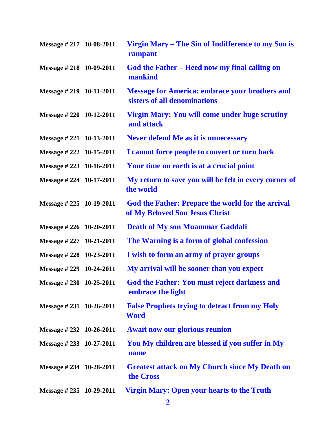| Message # 217 10-08-2011          | Virgin Mary – The Sin of Indifference to my Son is<br>rampant                              |
|-----------------------------------|--------------------------------------------------------------------------------------------|
| Message $\# 218$ 10-09-2011       | God the Father – Heed now my final calling on<br>mankind                                   |
| Message $\# 219$ 10-11-2011       | <b>Message for America: embrace your brothers and</b><br>sisters of all denominations      |
| Message # 220 10-12-2011          | <b>Virgin Mary: You will come under huge scrutiny</b><br>and attack                        |
| Message $\# 221 \quad 10-13-2011$ | <b>Never defend Me as it is unnecessary</b>                                                |
| Message # 222 10-15-2011          | I cannot force people to convert or turn back                                              |
| Message #223 10-16-2011           | Your time on earth is at a crucial point                                                   |
| Message # 224 10-17-2011          | My return to save you will be felt in every corner of<br>the world                         |
| Message # 225 10-19-2011          | <b>God the Father: Prepare the world for the arrival</b><br>of My Beloved Son Jesus Christ |
| Message #226 10-20-2011           | <b>Death of My son Muammar Gaddafi</b>                                                     |
| Message # 227 10-21-2011          | The Warning is a form of global confession                                                 |
| Message #228 10-23-2011           | I wish to form an army of prayer groups                                                    |
| Message # 229 10-24-2011          | My arrival will be sooner than you expect                                                  |
| Message #230 10-25-2011           | <b>God the Father: You must reject darkness and</b><br>embrace the light                   |
| Message $\# 231 \quad 10-26-2011$ | <b>False Prophets trying to detract from my Holy</b><br><b>Word</b>                        |
| Message $\# 232 \quad 10-26-2011$ | <b>Await now our glorious reunion</b>                                                      |
| Message #233 10-27-2011           | You My children are blessed if you suffer in My<br>name                                    |
| Message $\# 234$ 10-28-2011       | <b>Greatest attack on My Church since My Death on</b><br>the Cross                         |
| Message $\# 235 \quad 10-29-2011$ | <b>Virgin Mary: Open your hearts to the Truth</b>                                          |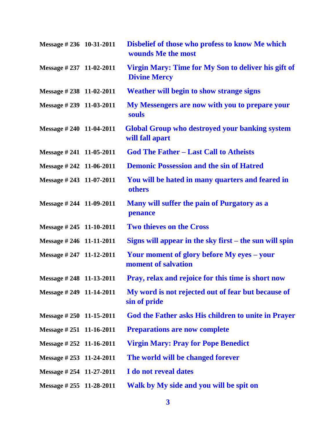| Message $\# 236$ 10-31-2011 | Disbelief of those who profess to know Me which<br>wounds Me the most      |
|-----------------------------|----------------------------------------------------------------------------|
| Message #237 11-02-2011     | Virgin Mary: Time for My Son to deliver his gift of<br><b>Divine Mercy</b> |
| Message $\# 238$ 11-02-2011 | <b>Weather will begin to show strange signs</b>                            |
| Message # 239 11-03-2011    | My Messengers are now with you to prepare your<br>souls                    |
| Message $\# 240$ 11-04-2011 | <b>Global Group who destroyed your banking system</b><br>will fall apart   |
| Message # 241 11-05-2011    | <b>God The Father - Last Call to Atheists</b>                              |
| Message # 242 11-06-2011    | <b>Demonic Possession and the sin of Hatred</b>                            |
| Message #243 11-07-2011     | You will be hated in many quarters and feared in<br>others                 |
| Message # 244 11-09-2011    | Many will suffer the pain of Purgatory as a<br>penance                     |
| Message # 245 11-10-2011    | <b>Two thieves on the Cross</b>                                            |
| Message # 246 11-11-2011    | Signs will appear in the sky first – the sun will spin                     |
| Message # 247 11-12-2011    | Your moment of glory before My eyes – your<br>moment of salvation          |
| Message # 248 11-13-2011    | Pray, relax and rejoice for this time is short now                         |
| Message # 249 11-14-2011    | My word is not rejected out of fear but because of<br>sin of pride         |
| Message # 250 11-15-2011    | God the Father asks His children to unite in Prayer                        |
| Message # 251 11-16-2011    | <b>Preparations are now complete</b>                                       |
| Message # 252 11-16-2011    | <b>Virgin Mary: Pray for Pope Benedict</b>                                 |
| Message # 253 11-24-2011    | The world will be changed forever                                          |
| Message #254 11-27-2011     | I do not reveal dates                                                      |
| Message $\# 255$ 11-28-2011 | Walk by My side and you will be spit on                                    |
|                             |                                                                            |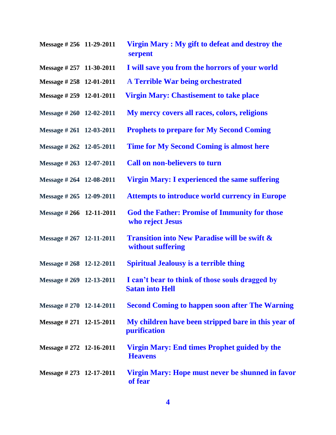| Message #256 11-29-2011  | Virgin Mary : My gift to defeat and destroy the<br>serpent                   |
|--------------------------|------------------------------------------------------------------------------|
| Message # 257 11-30-2011 | I will save you from the horrors of your world                               |
| Message #258 12-01-2011  | <b>A Terrible War being orchestrated</b>                                     |
| Message #259 12-01-2011  | <b>Virgin Mary: Chastisement to take place</b>                               |
| Message # 260 12-02-2011 | My mercy covers all races, colors, religions                                 |
| Message # 261 12-03-2011 | <b>Prophets to prepare for My Second Coming</b>                              |
| Message # 262 12-05-2011 | <b>Time for My Second Coming is almost here</b>                              |
| Message # 263 12-07-2011 | <b>Call on non-believers to turn</b>                                         |
| Message # 264 12-08-2011 | <b>Virgin Mary: I experienced the same suffering</b>                         |
| Message # 265 12-09-2011 | <b>Attempts to introduce world currency in Europe</b>                        |
| Message # 266 12-11-2011 | <b>God the Father: Promise of Immunity for those</b><br>who reject Jesus     |
| Message # 267 12-11-2011 | <b>Transition into New Paradise will be swift &amp;</b><br>without suffering |
| Message # 268 12-12-2011 | <b>Spiritual Jealousy is a terrible thing</b>                                |
| Message # 269 12-13-2011 | I can't bear to think of those souls dragged by<br><b>Satan into Hell</b>    |
| Message # 270 12-14-2011 | <b>Second Coming to happen soon after The Warning</b>                        |
| Message # 271 12-15-2011 | My children have been stripped bare in this year of<br>purification          |
| Message # 272 12-16-2011 | <b>Virgin Mary: End times Prophet guided by the</b><br><b>Heavens</b>        |
| Message # 273 12-17-2011 | Virgin Mary: Hope must never be shunned in favor<br>of fear                  |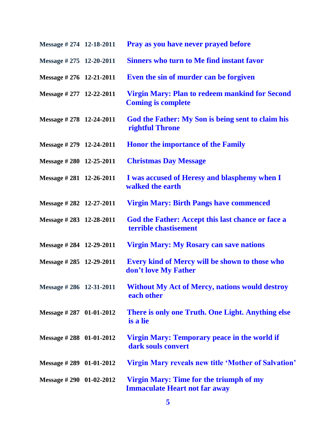| Message # 274 12-18-2011    | Pray as you have never prayed before                                                   |
|-----------------------------|----------------------------------------------------------------------------------------|
| Message # 275 12-20-2011    | <b>Sinners who turn to Me find instant favor</b>                                       |
| Message # 276 12-21-2011    | Even the sin of murder can be forgiven                                                 |
| Message # 277 12-22-2011    | <b>Virgin Mary: Plan to redeem mankind for Second</b><br><b>Coming is complete</b>     |
| Message # 278 12-24-2011    | God the Father: My Son is being sent to claim his<br><b>rightful Throne</b>            |
| Message # 279 12-24-2011    | <b>Honor the importance of the Family</b>                                              |
| Message #280 12-25-2011     | <b>Christmas Day Message</b>                                                           |
| Message #281 12-26-2011     | I was accused of Heresy and blasphemy when I<br>walked the earth                       |
| Message # 282 12-27-2011    | <b>Virgin Mary: Birth Pangs have commenced</b>                                         |
| Message #283 12-28-2011     | God the Father: Accept this last chance or face a<br>terrible chastisement             |
| Message # 284 12-29-2011    | <b>Virgin Mary: My Rosary can save nations</b>                                         |
| Message # 285 12-29-2011    | Every kind of Mercy will be shown to those who<br>don't love My Father                 |
| Message # 286 12-31-2011    | <b>Without My Act of Mercy, nations would destroy</b><br>each other                    |
| Message $\# 287$ 01-01-2012 | There is only one Truth. One Light. Anything else<br>is a lie                          |
| Message #288 01-01-2012     | Virgin Mary: Temporary peace in the world if<br>dark souls convert                     |
| Message $\# 289$ 01-01-2012 | <b>Virgin Mary reveals new title 'Mother of Salvation'</b>                             |
| Message # 290 01-02-2012    | <b>Virgin Mary: Time for the triumph of my</b><br><b>Immaculate Heart not far away</b> |